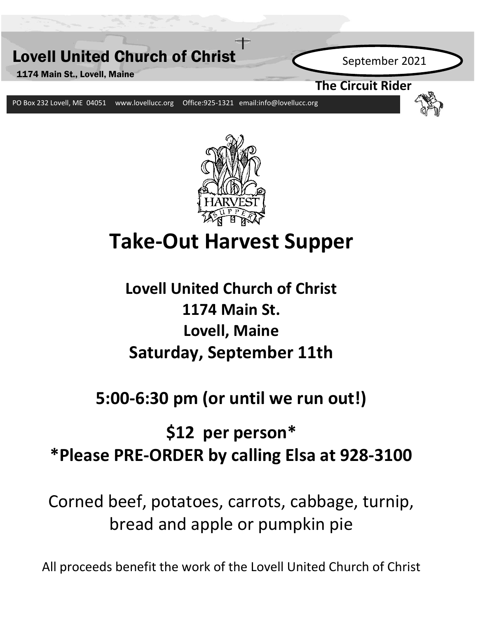



# **Take-Out Harvest Supper**

**Lovell United Church of Christ 1174 Main St. Lovell, Maine Saturday, September 11th**

# **5:00-6:30 pm (or until we run out!)**

# **\$12 per person\* \*Please PRE-ORDER by calling Elsa at 928-3100**

Corned beef, potatoes, carrots, cabbage, turnip, bread and apple or pumpkin pie

All proceeds benefit the work of the Lovell United Church of Christ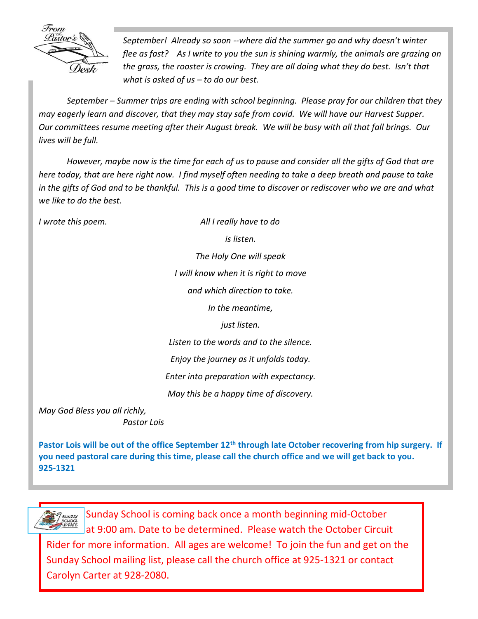

*September! Already so soon --where did the summer go and why doesn't winter flee as fast? As I write to you the sun is shining warmly, the animals are grazing on the grass, the rooster is crowing. They are all doing what they do best. Isn't that what is asked of us – to do our best.* 

*September – Summer trips are ending with school beginning. Please pray for our children that they may eagerly learn and discover, that they may stay safe from covid. We will have our Harvest Supper. Our committees resume meeting after their August break. We will be busy with all that fall brings. Our lives will be full.* 

*However, maybe now is the time for each of us to pause and consider all the gifts of God that are here today, that are here right now. I find myself often needing to take a deep breath and pause to take in the gifts of God and to be thankful. This is a good time to discover or rediscover who we are and what we like to do the best.*

*I wrote this poem. All I really have to do is listen. The Holy One will speak I will know when it is right to move and which direction to take. In the meantime, just listen. Listen to the words and to the silence.*

*Enjoy the journey as it unfolds today.*

*Enter into preparation with expectancy.*

*May this be a happy time of discovery.*

*May God Bless you all richly, Pastor Lois*

**Pastor Lois will be out of the office September 12th through late October recovering from hip surgery. If you need pastoral care during this time, please call the church office and we will get back to you. 925-1321**



 $\sum_{\substack{s\in \text{Supp} \text{S} \text{all}}\\{\text{Supp} \text{of} \text{of} \text{of} \text{of} \text{of}}}$  Sunday School is coming back once a month beginning mid-October at 9:00 am. Date to be determined. Please watch the October Circuit Rider for more information. All ages are welcome! To join the fun and get on the Sunday School mailing list, please call the church office at 925-1321 or contact Carolyn Carter at 928-2080.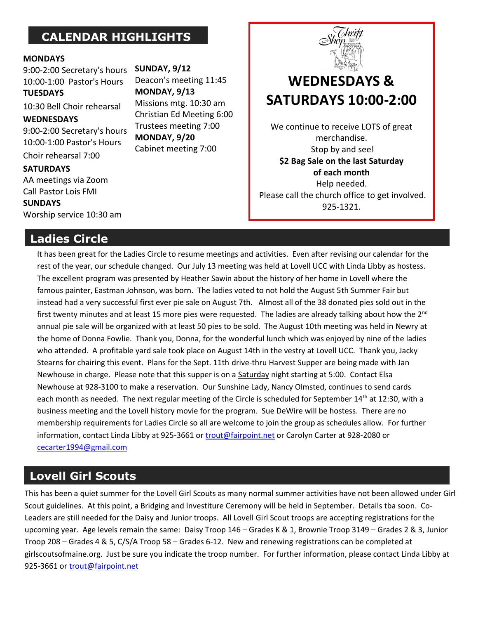# **CALENDAR HIGHLIGHTS**

#### **MONDAYS**

9:00-2:00 Secretary's hours 10:00-1:00 Pastor's Hours **TUESDAYS**

10:30 Bell Choir rehearsal

#### **WEDNESDAYS**

9:00-2:00 Secretary's hours 10:00-1:00 Pastor's Hours

Choir rehearsal 7:00

**SATURDAYS**  AA meetings via Zoom

Call Pastor Lois FMI **SUNDAYS** 

Worship service 10:30 am

### **Ladies Circle**

**SUNDAY, 9/12** Deacon's meeting 11:45 **MONDAY, 9/13** Missions mtg. 10:30 am Christian Ed Meeting 6:00 Trustees meeting 7:00 **MONDAY, 9/20** Cabinet meeting 7:00



# **WEDNESDAYS & SATURDAYS 10:00-2:00**

We continue to receive LOTS of great merchandise. Stop by and see! **\$2 Bag Sale on the last Saturday of each month** Help needed. Please call the church office to get involved. 925-1321.

It has been great for the Ladies Circle to resume meetings and activities. Even after revising our calendar for the rest of the year, our schedule changed. Our July 13 meeting was held at Lovell UCC with Linda Libby as hostess. The excellent program was presented by Heather Sawin about the history of her home in Lovell where the famous painter, Eastman Johnson, was born. The ladies voted to not hold the August 5th Summer Fair but instead had a very successful first ever pie sale on August 7th. Almost all of the 38 donated pies sold out in the first twenty minutes and at least 15 more pies were requested. The ladies are already talking about how the  $2^{nd}$ annual pie sale will be organized with at least 50 pies to be sold. The August 10th meeting was held in Newry at the home of Donna Fowlie. Thank you, Donna, for the wonderful lunch which was enjoyed by nine of the ladies who attended. A profitable yard sale took place on August 14th in the vestry at Lovell UCC. Thank you, Jacky Stearns for chairing this event. Plans for the Sept. 11th drive-thru Harvest Supper are being made with Jan Newhouse in charge. Please note that this supper is on a Saturday night starting at 5:00. Contact Elsa Newhouse at 928-3100 to make a reservation. Our Sunshine Lady, Nancy Olmsted, continues to send cards each month as needed. The next regular meeting of the Circle is scheduled for September 14<sup>th</sup> at 12:30, with a business meeting and the Lovell history movie for the program. Sue DeWire will be hostess. There are no membership requirements for Ladies Circle so all are welcome to join the group as schedules allow. For further information, contact Linda Libby at 925-3661 or [trout@fairpoint.net](mailto:trout@fairpoint.net) or Carolyn Carter at 928-2080 or [cecarter1994@gmail.com](mailto:cecarter1994@gmail.com)

# **Lovell Girl Scouts**

This has been a quiet summer for the Lovell Girl Scouts as many normal summer activities have not been allowed under Girl Scout guidelines. At this point, a Bridging and Investiture Ceremony will be held in September. Details tba soon. Co-Leaders are still needed for the Daisy and Junior troops. All Lovell Girl Scout troops are accepting registrations for the upcoming year. Age levels remain the same: Daisy Troop 146 – Grades K & 1, Brownie Troop 3149 – Grades 2 & 3, Junior Troop 208 – Grades 4 & 5, C/S/A Troop 58 – Grades 6-12. New and renewing registrations can be completed at girlscoutsofmaine.org. Just be sure you indicate the troop number. For further information, please contact Linda Libby at 925-3661 o[r trout@fairpoint.net](mailto:trout@fairpoint.net)